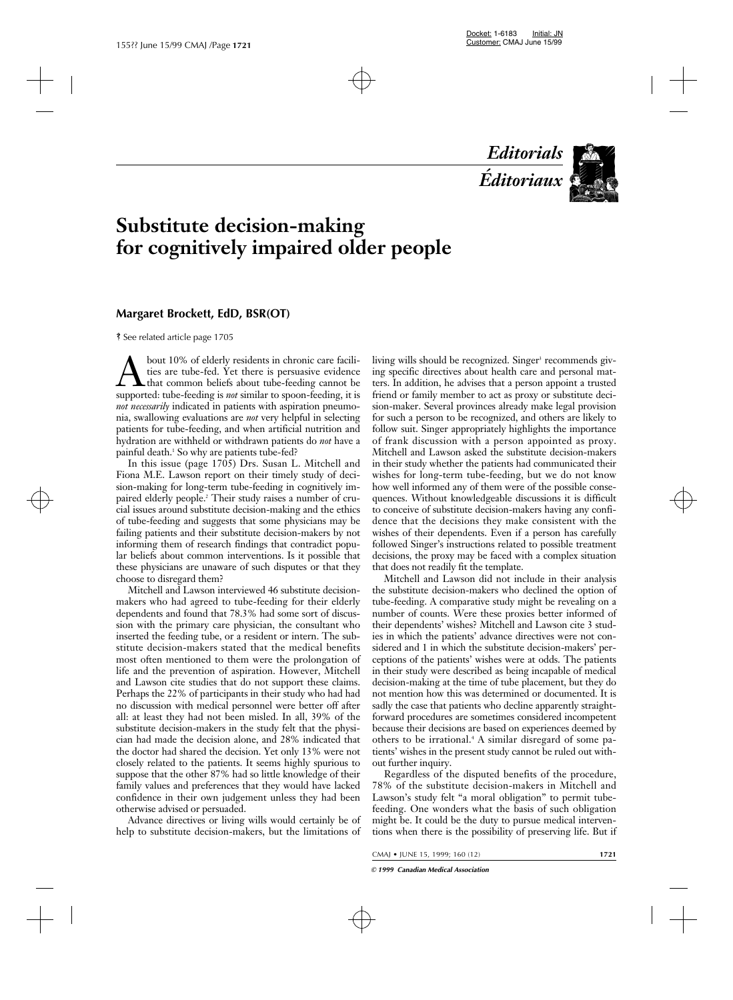*Editorials Éditoriaux*



# **Substitute decision-making for cognitively impaired older people**

### **Margaret Brockett, EdD, BSR(OT)**

ß See related article page 1705

bout 10% of elderly residents in chronic care facilities are tube-fed. Yet there is persuasive evidence<br>that common beliefs about tube-feeding cannot be<br>supported: tube-feeding is *not* similar to spoon-feeding, it is ties are tube-fed. Yet there is persuasive evidence that common beliefs about tube-feeding cannot be supported: tube-feeding is *not* similar to spoon-feeding, it is *not necessarily* indicated in patients with aspiration pneumonia, swallowing evaluations are *not* very helpful in selecting patients for tube-feeding, and when artificial nutrition and hydration are withheld or withdrawn patients do *not* have a painful death.<sup>1</sup> So why are patients tube-fed?

In this issue (page 1705) Drs. Susan L. Mitchell and Fiona M.E. Lawson report on their timely study of decision-making for long-term tube-feeding in cognitively impaired elderly people.2 Their study raises a number of crucial issues around substitute decision-making and the ethics of tube-feeding and suggests that some physicians may be failing patients and their substitute decision-makers by not informing them of research findings that contradict popular beliefs about common interventions. Is it possible that these physicians are unaware of such disputes or that they choose to disregard them?

Mitchell and Lawson interviewed 46 substitute decisionmakers who had agreed to tube-feeding for their elderly dependents and found that 78.3% had some sort of discussion with the primary care physician, the consultant who inserted the feeding tube, or a resident or intern. The substitute decision-makers stated that the medical benefits most often mentioned to them were the prolongation of life and the prevention of aspiration. However, Mitchell and Lawson cite studies that do not support these claims. Perhaps the 22% of participants in their study who had had no discussion with medical personnel were better off after all: at least they had not been misled. In all, 39% of the substitute decision-makers in the study felt that the physician had made the decision alone, and 28% indicated that the doctor had shared the decision. Yet only 13% were not closely related to the patients. It seems highly spurious to suppose that the other 87% had so little knowledge of their family values and preferences that they would have lacked confidence in their own judgement unless they had been otherwise advised or persuaded.

Advance directives or living wills would certainly be of help to substitute decision-makers, but the limitations of

living wills should be recognized. Singer<sup>3</sup> recommends giving specific directives about health care and personal matters. In addition, he advises that a person appoint a trusted friend or family member to act as proxy or substitute decision-maker. Several provinces already make legal provision for such a person to be recognized, and others are likely to follow suit. Singer appropriately highlights the importance of frank discussion with a person appointed as proxy. Mitchell and Lawson asked the substitute decision-makers in their study whether the patients had communicated their wishes for long-term tube-feeding, but we do not know how well informed any of them were of the possible consequences. Without knowledgeable discussions it is difficult to conceive of substitute decision-makers having any confidence that the decisions they make consistent with the wishes of their dependents. Even if a person has carefully followed Singer's instructions related to possible treatment decisions, the proxy may be faced with a complex situation that does not readily fit the template.

Mitchell and Lawson did not include in their analysis the substitute decision-makers who declined the option of tube-feeding. A comparative study might be revealing on a number of counts. Were these proxies better informed of their dependents' wishes? Mitchell and Lawson cite 3 studies in which the patients' advance directives were not considered and 1 in which the substitute decision-makers' perceptions of the patients' wishes were at odds. The patients in their study were described as being incapable of medical decision-making at the time of tube placement, but they do not mention how this was determined or documented. It is sadly the case that patients who decline apparently straightforward procedures are sometimes considered incompetent because their decisions are based on experiences deemed by others to be irrational.4 A similar disregard of some patients' wishes in the present study cannot be ruled out without further inquiry.

Regardless of the disputed benefits of the procedure, 78% of the substitute decision-makers in Mitchell and Lawson's study felt "a moral obligation" to permit tubefeeding. One wonders what the basis of such obligation might be. It could be the duty to pursue medical interventions when there is the possibility of preserving life. But if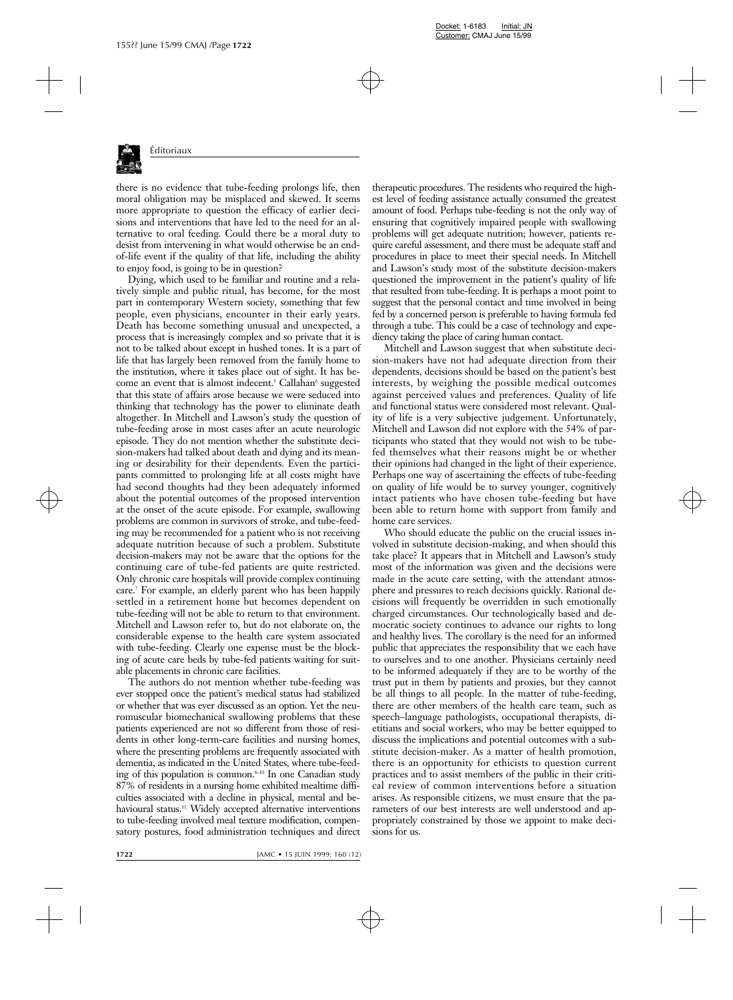

there is no evidence that tube-feeding prolongs life, then moral obligation may be misplaced and skewed. It seems more appropriate to question the efficacy of earlier decisions and interventions that have led to the need for an alternative to oral feeding. Could there be a moral duty to desist from intervening in what would otherwise be an endof-life event if the quality of that life, including the ability to enjoy food, is going to be in question?

Dying, which used to be familiar and routine and a relatively simple and public ritual, has become, for the most part in contemporary Western society, something that few people, even physicians, encounter in their early years. Death has become something unusual and unexpected, a process that is increasingly complex and so private that it is not to be talked about except in hushed tones. It is a part of life that has largely been removed from the family home to the institution, where it takes place out of sight. It has become an event that is almost indecent.<sup>5</sup> Callahan<sup>6</sup> suggested that this state of affairs arose because we were seduced into thinking that technology has the power to eliminate death altogether. In Mitchell and Lawson's study the question of tube-feeding arose in most cases after an acute neurologic episode. They do not mention whether the substitute decision-makers had talked about death and dying and its meaning or desirability for their dependents. Even the participants committed to prolonging life at all costs might have had second thoughts had they been adequately informed about the potential outcomes of the proposed intervention at the onset of the acute episode. For example, swallowing problems are common in survivors of stroke, and tube-feeding may be recommended for a patient who is not receiving adequate nutrition because of such a problem. Substitute decision-makers may not be aware that the options for the continuing care of tube-fed patients are quite restricted. Only chronic care hospitals will provide complex continuing care.7 For example, an elderly parent who has been happily settled in a retirement home but becomes dependent on tube-feeding will not be able to return to that environment. Mitchell and Lawson refer to, but do not elaborate on, the considerable expense to the health care system associated with tube-feeding. Clearly one expense must be the blocking of acute care beds by tube-fed patients waiting for suitable placements in chronic care facilities.

The authors do not mention whether tube-feeding was ever stopped once the patient's medical status had stabilized or whether that was ever discussed as an option. Yet the neuromuscular biomechanical swallowing problems that these patients experienced are not so different from those of residents in other long-term-care facilities and nursing homes, where the presenting problems are frequently associated with dementia, as indicated in the United States, where tube-feeding of this population is common. $8-10$  In one Canadian study 87% of residents in a nursing home exhibited mealtime difficulties associated with a decline in physical, mental and behavioural status.<sup>11</sup> Widely accepted alternative interventions to tube-feeding involved meal texture modification, compensatory postures, food administration techniques and direct

therapeutic procedures. The residents who required the highest level of feeding assistance actually consumed the greatest amount of food. Perhaps tube-feeding is not the only way of ensuring that cognitively impaired people with swallowing problems will get adequate nutrition; however, patients require careful assessment, and there must be adequate staff and procedures in place to meet their special needs. In Mitchell and Lawson's study most of the substitute decision-makers questioned the improvement in the patient's quality of life that resulted from tube-feeding. It is perhaps a moot point to suggest that the personal contact and time involved in being fed by a concerned person is preferable to having formula fed through a tube. This could be a case of technology and expediency taking the place of caring human contact.

Mitchell and Lawson suggest that when substitute decision-makers have not had adequate direction from their dependents, decisions should be based on the patient's best interests, by weighing the possible medical outcomes against perceived values and preferences. Quality of life and functional status were considered most relevant. Quality of life is a very subjective judgement. Unfortunately, Mitchell and Lawson did not explore with the 54% of participants who stated that they would not wish to be tubefed themselves what their reasons might be or whether their opinions had changed in the light of their experience. Perhaps one way of ascertaining the effects of tube-feeding on quality of life would be to survey younger, cognitively intact patients who have chosen tube-feeding but have been able to return home with support from family and home care services.

Who should educate the public on the crucial issues involved in substitute decision-making, and when should this take place? It appears that in Mitchell and Lawson's study most of the information was given and the decisions were made in the acute care setting, with the attendant atmosphere and pressures to reach decisions quickly. Rational decisions will frequently be overridden in such emotionally charged circumstances. Our technologically based and democratic society continues to advance our rights to long and healthy lives. The corollary is the need for an informed public that appreciates the responsibility that we each have to ourselves and to one another. Physicians certainly need to be informed adequately if they are to be worthy of the trust put in them by patients and proxies, but they cannot be all things to all people. In the matter of tube-feeding, there are other members of the health care team, such as speech–language pathologists, occupational therapists, dietitians and social workers, who may be better equipped to discuss the implications and potential outcomes with a substitute decision-maker. As a matter of health promotion, there is an opportunity for ethicists to question current practices and to assist members of the public in their critical review of common interventions before a situation arises. As responsible citizens, we must ensure that the parameters of our best interests are well understood and appropriately constrained by those we appoint to make decisions for us.